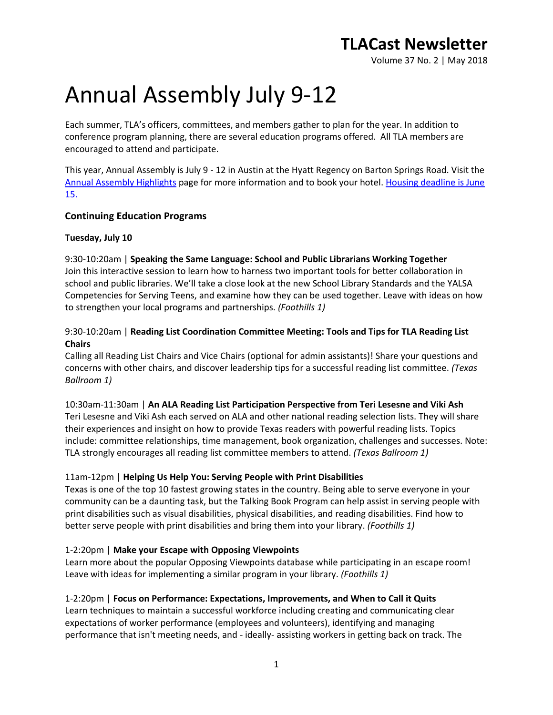Volume 37 No. 2 | May 2018

# Annual Assembly July 9-12

Each summer, TLA's officers, committees, and members gather to plan for the year. In addition to conference program planning, there are several education programs offered. All TLA members are encouraged to attend and participate.

This year, Annual Assembly is July 9 - 12 in Austin at the Hyatt Regency on Barton Springs Road. Visit the [Annual Assembly Highlights](http://www.txla.org/annual-assembly-highlights) page for more information and to book your hotel. Housing deadline is June [15.](https://book.passkey.com/e/49142685)

### **Continuing Education Programs**

### **Tuesday, July 10**

9:30-10:20am | **Speaking the Same Language: School and Public Librarians Working Together** Join this interactive session to learn how to harness two important tools for better collaboration in school and public libraries. We'll take a close look at the new School Library Standards and the YALSA Competencies for Serving Teens, and examine how they can be used together. Leave with ideas on how to strengthen your local programs and partnerships. *(Foothills 1)*

### 9:30-10:20am | **Reading List Coordination Committee Meeting: Tools and Tips for TLA Reading List Chairs**

Calling all Reading List Chairs and Vice Chairs (optional for admin assistants)! Share your questions and concerns with other chairs, and discover leadership tips for a successful reading list committee. *(Texas Ballroom 1)*

10:30am-11:30am | **An ALA Reading List Participation Perspective from Teri Lesesne and Viki Ash** Teri Lesesne and Viki Ash each served on ALA and other national reading selection lists. They will share their experiences and insight on how to provide Texas readers with powerful reading lists. Topics include: committee relationships, time management, book organization, challenges and successes. Note: TLA strongly encourages all reading list committee members to attend. *(Texas Ballroom 1)*

### 11am-12pm | **Helping Us Help You: Serving People with Print Disabilities**

Texas is one of the top 10 fastest growing states in the country. Being able to serve everyone in your community can be a daunting task, but the Talking Book Program can help assist in serving people with print disabilities such as visual disabilities, physical disabilities, and reading disabilities. Find how to better serve people with print disabilities and bring them into your library. *(Foothills 1)*

### 1-2:20pm | **Make your Escape with Opposing Viewpoints**

Learn more about the popular Opposing Viewpoints database while participating in an escape room! Leave with ideas for implementing a similar program in your library. *(Foothills 1)*

### 1-2:20pm | **Focus on Performance: Expectations, Improvements, and When to Call it Quits**

Learn techniques to maintain a successful workforce including creating and communicating clear expectations of worker performance (employees and volunteers), identifying and managing performance that isn't meeting needs, and - ideally- assisting workers in getting back on track. The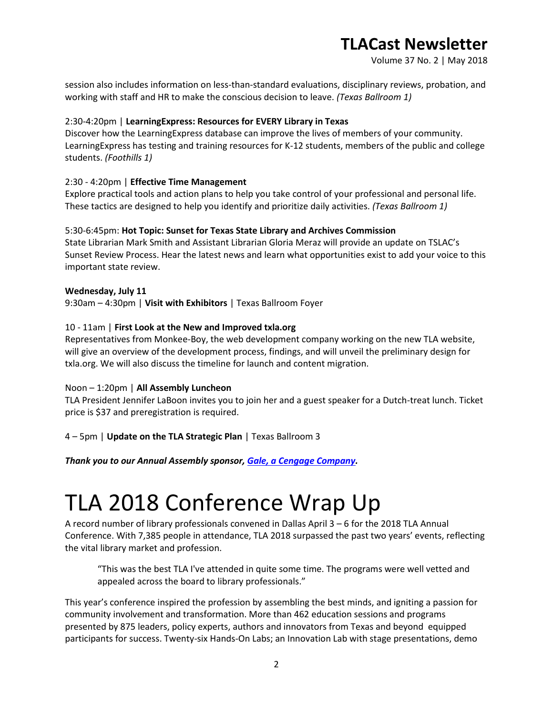Volume 37 No. 2 | May 2018

session also includes information on less-than-standard evaluations, disciplinary reviews, probation, and working with staff and HR to make the conscious decision to leave. *(Texas Ballroom 1)*

### 2:30-4:20pm | **LearningExpress: Resources for EVERY Library in Texas**

Discover how the LearningExpress database can improve the lives of members of your community. LearningExpress has testing and training resources for K-12 students, members of the public and college students. *(Foothills 1)*

### 2:30 - 4:20pm | **Effective Time Management**

Explore practical tools and action plans to help you take control of your professional and personal life. These tactics are designed to help you identify and prioritize daily activities. *(Texas Ballroom 1)*

### 5:30-6:45pm: **Hot Topic: Sunset for Texas State Library and Archives Commission**

State Librarian Mark Smith and Assistant Librarian Gloria Meraz will provide an update on TSLAC's Sunset Review Process. Hear the latest news and learn what opportunities exist to add your voice to this important state review.

### **Wednesday, July 11**

9:30am – 4:30pm | **Visit with Exhibitors** | Texas Ballroom Foyer

### 10 - 11am | **First Look at the New and Improved txla.org**

Representatives from Monkee-Boy, the web development company working on the new TLA website, will give an overview of the development process, findings, and will unveil the preliminary design for txla.org. We will also discuss the timeline for launch and content migration.

### Noon – 1:20pm | **All Assembly Luncheon**

TLA President Jennifer LaBoon invites you to join her and a guest speaker for a Dutch-treat lunch. Ticket price is \$37 and preregistration is required.

4 – 5pm | **Update on the TLA Strategic Plan** | Texas Ballroom 3

*Thank you to our Annual Assembly sponsor, [Gale, a Cengage Company.](https://www.gale.com/)*

## TLA 2018 Conference Wrap Up

A record number of library professionals convened in Dallas April 3 – 6 for the 2018 TLA Annual Conference. With 7,385 people in attendance, TLA 2018 surpassed the past two years' events, reflecting the vital library market and profession.

"This was the best TLA I've attended in quite some time. The programs were well vetted and appealed across the board to library professionals."

This year's conference inspired the profession by assembling the best minds, and igniting a passion for community involvement and transformation. More than 462 education sessions and programs presented by 875 leaders, policy experts, authors and innovators from Texas and beyond equipped participants for success. Twenty-six Hands-On Labs; an Innovation Lab with stage presentations, demo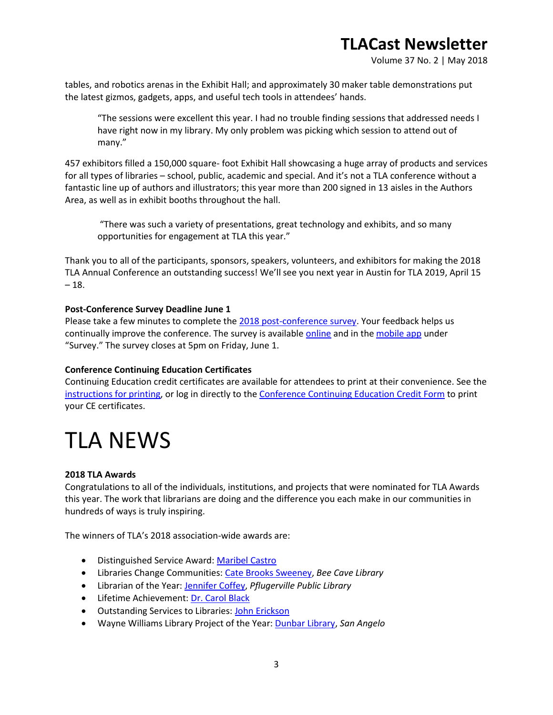Volume 37 No. 2 | May 2018

tables, and robotics arenas in the Exhibit Hall; and approximately 30 maker table demonstrations put the latest gizmos, gadgets, apps, and useful tech tools in attendees' hands.

"The sessions were excellent this year. I had no trouble finding sessions that addressed needs I have right now in my library. My only problem was picking which session to attend out of many."

457 exhibitors filled a 150,000 square- foot Exhibit Hall showcasing a huge array of products and services for all types of libraries – school, public, academic and special. And it's not a TLA conference without a fantastic line up of authors and illustrators; this year more than 200 signed in 13 aisles in the Authors Area, as well as in exhibit booths throughout the hall.

"There was such a variety of presentations, great technology and exhibits, and so many opportunities for engagement at TLA this year."

Thank you to all of the participants, sponsors, speakers, volunteers, and exhibitors for making the 2018 TLA Annual Conference an outstanding success! We'll see you next year in Austin for TLA 2019, April 15  $-18.$ 

### **Post-Conference Survey Deadline June 1**

Please take a few minutes to complete the [2018 post-conference survey.](https://www.surveymonkey.com/r/2018-TLA-Annual-Conference-Survey) Your feedback helps us continually improve the conference. The survey is availabl[e online](https://www.surveymonkey.com/r/2018-TLA-Annual-Conference-Survey) and in th[e mobile app](http://www.txla.org/news/2018/02/the-tla-app-is-now-available) under "Survey." The survey closes at 5pm on Friday, June 1.

### **Conference Continuing Education Certificates**

Continuing Education credit certificates are available for attendees to print at their convenience. See the [instructions for printing,](http://www.txla.org/conference-CE) or log in directly to the [Conference Continuing Education Credit Form](https://secure.txla.org/secure/forms/cpemenu.asp) to print your CE certificates.

## TLA NEWS

### **2018 TLA Awards**

Congratulations to all of the individuals, institutions, and projects that were nominated for TLA Awards this year. The work that librarians are doing and the difference you each make in our communities in hundreds of ways is truly inspiring.

The winners of TLA's 2018 association-wide awards are:

- **.** Distinguished Service Award: [Maribel Castro](http://www.txla.org/sites/tla/files/groups/awards/docs/Distinguished%20Service%20Award%20Press%20Release%202018.pdf)
- Libraries Change Communities: [Cate Brooks Sweeney,](http://www.txla.org/sites/tla/files/groups/awards/docs/Libraries%20Change%20Communities%20Award%20Press%20Release%202018.pdf) *Bee Cave Library*
- Librarian of the Year: [Jennifer Coffey,](http://www.txla.org/sites/tla/files/groups/awards/docs/Librarian%20of%20the%20Year%20Award%20Press%20Release%202018.pdf) *Pflugerville Public Library*
- **.** Lifetime Achievement: [Dr. Carol Black](http://www.txla.org/sites/tla/files/groups/awards/docs/Lifetime%20Achievement%20Award%20Press%20Release%202018.pdf)
- **•** Outstanding Services to Libraries: [John Erickson](http://www.txla.org/sites/tla/files/groups/awards/docs/Outstanding%20Services%20to%20Libraries%20Award%20Press%20Release%202018.pdf)
- Wayne Williams Library Project of the Year: [Dunbar Library,](http://www.txla.org/sites/tla/files/groups/awards/docs/Wayne%20Williams%20Library%20Project%20of%20the%20Year%20Award%20Press%20Release%202018.pdf) *San Angelo*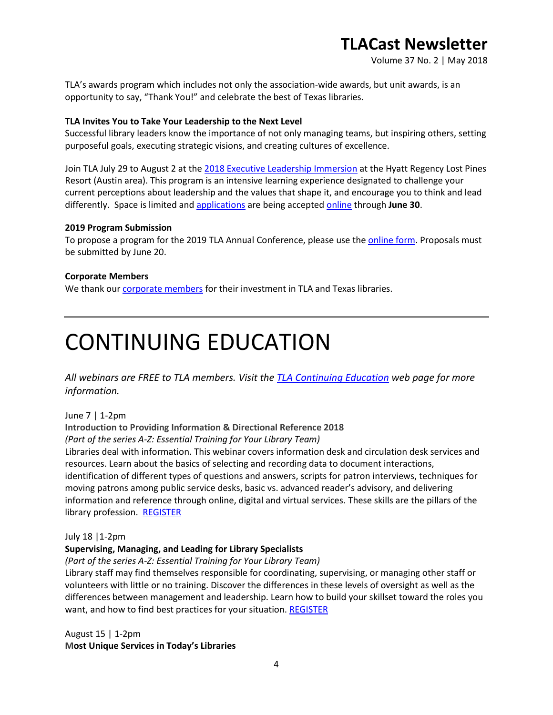Volume 37 No. 2 | May 2018

TLA's awards program which includes not only the association-wide awards, but unit awards, is an opportunity to say, "Thank You!" and celebrate the best of Texas libraries.

### **TLA Invites You to Take Your Leadership to the Next Level**

Successful library leaders know the importance of not only managing teams, but inspiring others, setting purposeful goals, executing strategic visions, and creating cultures of excellence.

Join TLA July 29 to August 2 at the [2018 Executive Leadership Immersion](http://www.txla.org/executive-leadership) at the Hyatt Regency Lost Pines Resort (Austin area). This program is an intensive learning experience designated to challenge your current perceptions about leadership and the values that shape it, and encourage you to think and lead differently. Space is limited an[d applications](http://www.txla.org/executive-leadership) are being accepte[d online](http://txla.org/executive-leadership) through **June 30**.

### **2019 Program Submission**

To propose a program for the 2019 TLA Annual Conference, please use th[e online form.](http://www.txla.org/submit-your-conference-program-proposals) Proposals must be submitted by June 20.

### **Corporate Members**

We thank our [corporate members](http://www.txla.org/cm) for their investment in TLA and Texas libraries.

# CONTINUING EDUCATION

*All webinars are FREE to TLA members. Visit the [TLA Continuing Education](http://www.txla.org/CE) web page for more information.* 

June 7 | 1-2pm

**Introduction to Providing Information & Directional Reference 2018**

*(Part of the series A-Z: Essential Training for Your Library Team)*

Libraries deal with information. This webinar covers information desk and circulation desk services and resources. Learn about the basics of selecting and recording data to document interactions, identification of different types of questions and answers, scripts for patron interviews, techniques for moving patrons among public service desks, basic vs. advanced reader's advisory, and delivering information and reference through online, digital and virtual services. These skills are the pillars of the library profession. [REGISTER](https://secure.txla.org/secure/forms/mtgLogin.asp)

July 18 |1-2pm

### **Supervising, Managing, and Leading for Library Specialists**

*(Part of the series A-Z: Essential Training for Your Library Team)*

Library staff may find themselves responsible for coordinating, supervising, or managing other staff or volunteers with little or no training. Discover the differences in these levels of oversight as well as the differences between management and leadership. Learn how to build your skillset toward the roles you want, and how to find best practices for your situation. [REGISTER](https://secure.txla.org/secure/forms/mtgLogin.asp)

August 15 | 1-2pm **Most Unique Services in Today's Libraries**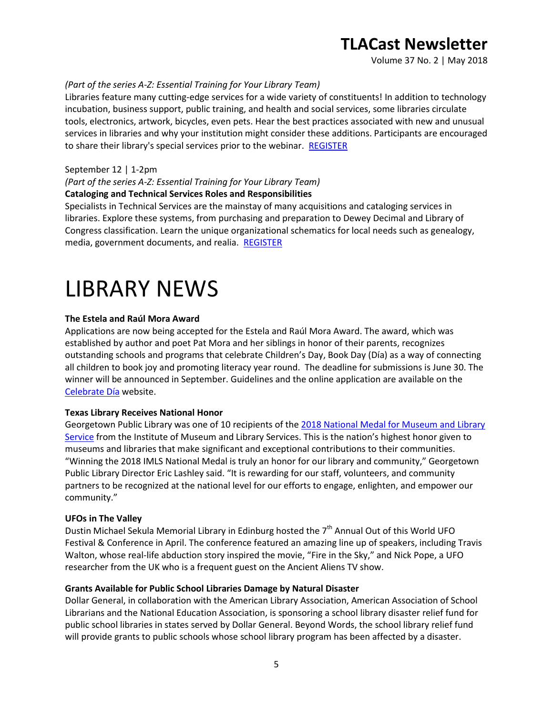Volume 37 No. 2 | May 2018

#### *(Part of the series A-Z: Essential Training for Your Library Team)*

Libraries feature many cutting-edge services for a wide variety of constituents! In addition to technology incubation, business support, public training, and health and social services, some libraries circulate tools, electronics, artwork, bicycles, even pets. Hear the best practices associated with new and unusual services in libraries and why your institution might consider these additions. Participants are encouraged to share their library's special services prior to the webinar. [REGISTER](https://secure.txla.org/secure/forms/mtgLogin.asp)

#### September 12 | 1-2pm

### *(Part of the series A-Z: Essential Training for Your Library Team)*

### **Cataloging and Technical Services Roles and Responsibilities**

Specialists in Technical Services are the mainstay of many acquisitions and cataloging services in libraries. Explore these systems, from purchasing and preparation to Dewey Decimal and Library of Congress classification. Learn the unique organizational schematics for local needs such as genealogy, media, government documents, and realia. [REGISTER](https://secure.txla.org/secure/forms/mtgLogin.asp)

## LIBRARY NEWS

#### **The Estela and Raúl Mora Award**

Applications are now being accepted for the Estela and Raúl Mora Award. The award, which was established by author and poet Pat Mora and her siblings in honor of their parents, recognizes outstanding schools and programs that celebrate Children's Day, Book Day (Día) as a way of connecting all children to book joy and promoting literacy year round. The deadline for submissions is June 30. The winner will be announced in September. Guidelines and the online application are available on the [Celebrate Día](https://firstbook.org/CelebrateDia/) website.

#### **Texas Library Receives National Honor**

Georgetown Public Library was one of 10 recipients of the 2018 National Medal for Museum and Library [Service](https://georgetown.org/2018/05/01/georgetown-public-library-wins-national-medal/) from the Institute of Museum and Library Services. This is the nation's highest honor given to museums and libraries that make significant and exceptional contributions to their communities. "Winning the 2018 IMLS National Medal is truly an honor for our library and community," Georgetown Public Library Director Eric Lashley said. "It is rewarding for our staff, volunteers, and community partners to be recognized at the national level for our efforts to engage, enlighten, and empower our community."

#### **UFOs in The Valley**

Dustin Michael Sekula Memorial Library in Edinburg hosted the 7<sup>th</sup> Annual Out of this World UFO Festival & Conference in April. The conference featured an amazing line up of speakers, including Travis Walton, whose real-life abduction story inspired the movie, "Fire in the Sky," and Nick Pope, a UFO researcher from the UK who is a frequent guest on the Ancient Aliens TV show.

#### **Grants Available for Public School Libraries Damage by Natural Disaster**

Dollar General, in collaboration with the American Library Association, American Association of School Librarians and the National Education Association, is sponsoring a school library disaster relief fund for public school libraries in states served by Dollar General. Beyond Words, the school library relief fund will provide grants to public schools whose school library program has been affected by a disaster.